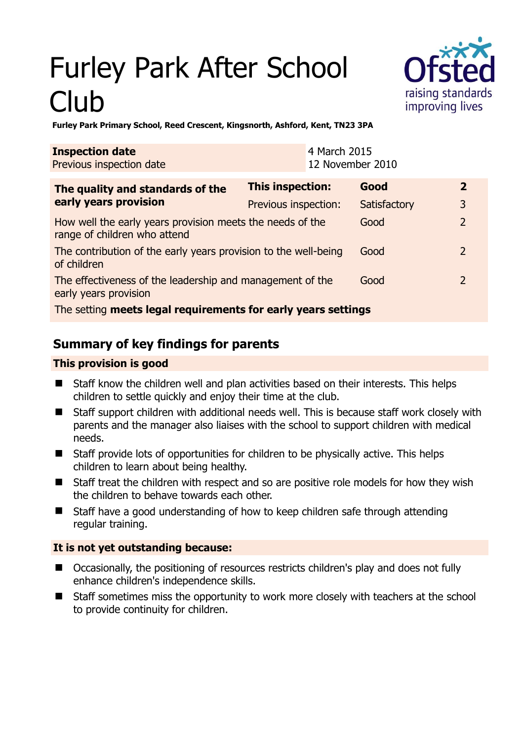# Furley Park After School Club



**Furley Park Primary School, Reed Crescent, Kingsnorth, Ashford, Kent, TN23 3PA** 

| <b>Inspection date</b><br>Previous inspection date                                        |                         | 4 March 2015<br>12 November 2010 |              |               |               |
|-------------------------------------------------------------------------------------------|-------------------------|----------------------------------|--------------|---------------|---------------|
| The quality and standards of the<br>early years provision                                 | <b>This inspection:</b> |                                  | Good         |               | $\mathbf{2}$  |
|                                                                                           | Previous inspection:    |                                  | Satisfactory | 3             |               |
| How well the early years provision meets the needs of the<br>range of children who attend |                         |                                  | Good         |               | $\mathcal{P}$ |
| The contribution of the early years provision to the well-being<br>of children            |                         |                                  | Good         | $\mathcal{L}$ |               |
| The effectiveness of the leadership and management of the<br>early years provision        |                         |                                  | Good         |               | $\mathcal{L}$ |
| The setting meets legal requirements for early years settings                             |                         |                                  |              |               |               |

# **Summary of key findings for parents**

## **This provision is good**

- Staff know the children well and plan activities based on their interests. This helps children to settle quickly and enjoy their time at the club.
- Staff support children with additional needs well. This is because staff work closely with parents and the manager also liaises with the school to support children with medical needs.
- Staff provide lots of opportunities for children to be physically active. This helps children to learn about being healthy.
- Staff treat the children with respect and so are positive role models for how they wish the children to behave towards each other.
- Staff have a good understanding of how to keep children safe through attending regular training.

## **It is not yet outstanding because:**

- Occasionally, the positioning of resources restricts children's play and does not fully enhance children's independence skills.
- Staff sometimes miss the opportunity to work more closely with teachers at the school to provide continuity for children.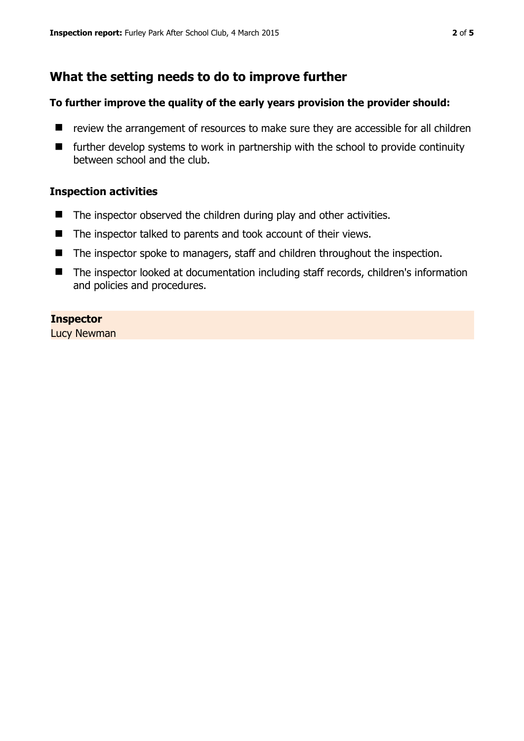# **What the setting needs to do to improve further**

#### **To further improve the quality of the early years provision the provider should:**

- $\blacksquare$  review the arrangement of resources to make sure they are accessible for all children
- $\blacksquare$  further develop systems to work in partnership with the school to provide continuity between school and the club.

#### **Inspection activities**

- The inspector observed the children during play and other activities.
- The inspector talked to parents and took account of their views.
- The inspector spoke to managers, staff and children throughout the inspection.
- The inspector looked at documentation including staff records, children's information and policies and procedures.

#### **Inspector**

Lucy Newman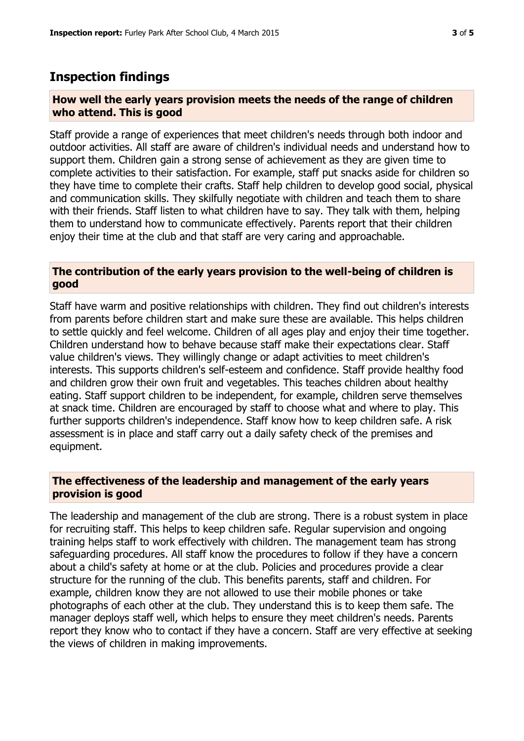### **Inspection findings**

#### **How well the early years provision meets the needs of the range of children who attend. This is good**

Staff provide a range of experiences that meet children's needs through both indoor and outdoor activities. All staff are aware of children's individual needs and understand how to support them. Children gain a strong sense of achievement as they are given time to complete activities to their satisfaction. For example, staff put snacks aside for children so they have time to complete their crafts. Staff help children to develop good social, physical and communication skills. They skilfully negotiate with children and teach them to share with their friends. Staff listen to what children have to say. They talk with them, helping them to understand how to communicate effectively. Parents report that their children enjoy their time at the club and that staff are very caring and approachable.

#### **The contribution of the early years provision to the well-being of children is good**

Staff have warm and positive relationships with children. They find out children's interests from parents before children start and make sure these are available. This helps children to settle quickly and feel welcome. Children of all ages play and enjoy their time together. Children understand how to behave because staff make their expectations clear. Staff value children's views. They willingly change or adapt activities to meet children's interests. This supports children's self-esteem and confidence. Staff provide healthy food and children grow their own fruit and vegetables. This teaches children about healthy eating. Staff support children to be independent, for example, children serve themselves at snack time. Children are encouraged by staff to choose what and where to play. This further supports children's independence. Staff know how to keep children safe. A risk assessment is in place and staff carry out a daily safety check of the premises and equipment.

#### **The effectiveness of the leadership and management of the early years provision is good**

The leadership and management of the club are strong. There is a robust system in place for recruiting staff. This helps to keep children safe. Regular supervision and ongoing training helps staff to work effectively with children. The management team has strong safeguarding procedures. All staff know the procedures to follow if they have a concern about a child's safety at home or at the club. Policies and procedures provide a clear structure for the running of the club. This benefits parents, staff and children. For example, children know they are not allowed to use their mobile phones or take photographs of each other at the club. They understand this is to keep them safe. The manager deploys staff well, which helps to ensure they meet children's needs. Parents report they know who to contact if they have a concern. Staff are very effective at seeking the views of children in making improvements.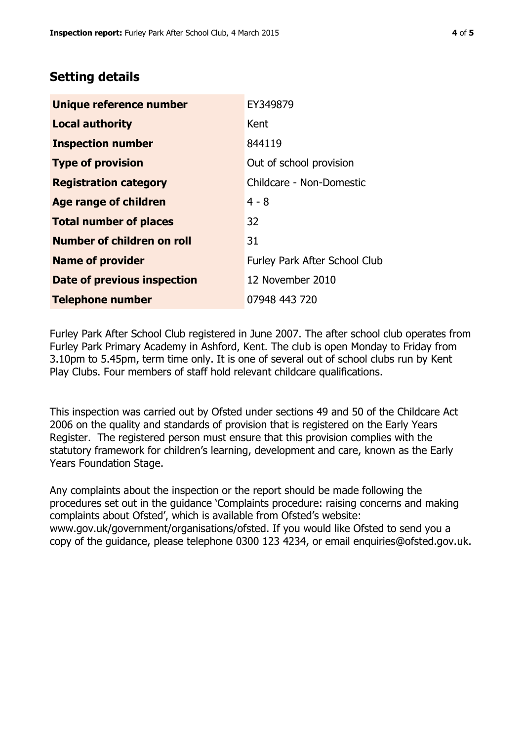# **Setting details**

| Unique reference number            | EY349879                             |  |
|------------------------------------|--------------------------------------|--|
| <b>Local authority</b>             | Kent                                 |  |
| <b>Inspection number</b>           | 844119                               |  |
| <b>Type of provision</b>           | Out of school provision              |  |
| <b>Registration category</b>       | Childcare - Non-Domestic             |  |
| <b>Age range of children</b>       | $4 - 8$                              |  |
| <b>Total number of places</b>      | 32                                   |  |
| Number of children on roll         | 31                                   |  |
| <b>Name of provider</b>            | <b>Furley Park After School Club</b> |  |
| <b>Date of previous inspection</b> | 12 November 2010                     |  |
| <b>Telephone number</b>            | 07948 443 720                        |  |

Furley Park After School Club registered in June 2007. The after school club operates from Furley Park Primary Academy in Ashford, Kent. The club is open Monday to Friday from 3.10pm to 5.45pm, term time only. It is one of several out of school clubs run by Kent Play Clubs. Four members of staff hold relevant childcare qualifications.

This inspection was carried out by Ofsted under sections 49 and 50 of the Childcare Act 2006 on the quality and standards of provision that is registered on the Early Years Register. The registered person must ensure that this provision complies with the statutory framework for children's learning, development and care, known as the Early Years Foundation Stage.

Any complaints about the inspection or the report should be made following the procedures set out in the guidance 'Complaints procedure: raising concerns and making complaints about Ofsted', which is available from Ofsted's website: www.gov.uk/government/organisations/ofsted. If you would like Ofsted to send you a copy of the guidance, please telephone 0300 123 4234, or email enquiries@ofsted.gov.uk.